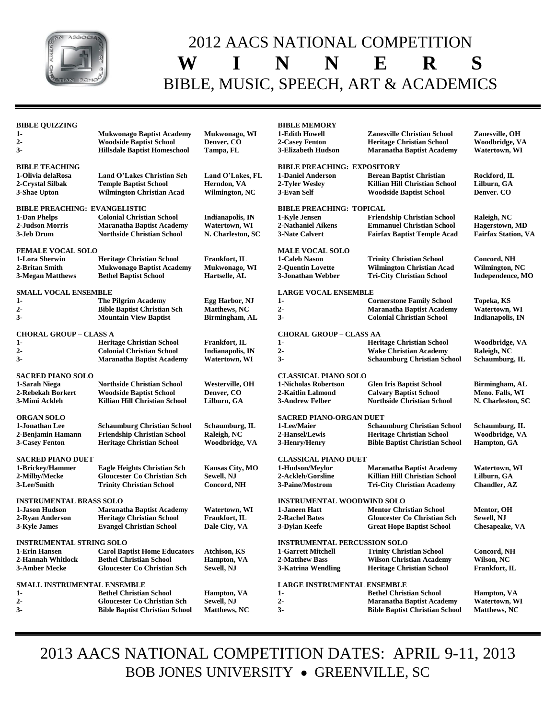

## 2012 AACS NATIONAL COMPETITION **W I N N E R S** BIBLE, MUSIC, SPEECH, ART & ACADEMICS

| <b>BIBLE QUIZZING</b>                            |                                       |                         | <b>BIBLE MEMORY</b>                                              |                                       |                            |
|--------------------------------------------------|---------------------------------------|-------------------------|------------------------------------------------------------------|---------------------------------------|----------------------------|
| $1-$                                             | <b>Mukwonago Baptist Academy</b>      | Mukwonago, WI           | 1-Edith Howell                                                   | <b>Zanesville Christian School</b>    | Zanesville, OH             |
| $2-$                                             | <b>Woodside Baptist School</b>        | Denver, CO              | 2-Casey Fenton                                                   | <b>Heritage Christian School</b>      | Woodbridge, VA             |
| $3-$                                             | <b>Hillsdale Baptist Homeschool</b>   | Tampa, FL               | 3-Elizabeth Hudson                                               | <b>Maranatha Baptist Academy</b>      | Watertown, WI              |
| <b>BIBLE TEACHING</b>                            |                                       |                         | <b>BIBLE PREACHING: EXPOSITORY</b>                               |                                       |                            |
| 1-Olivia delaRosa                                | Land O'Lakes Christian Sch            | Land O'Lakes, FL        | <b>1-Daniel Anderson</b>                                         | <b>Berean Baptist Christian</b>       | Rockford, IL               |
| 2-Crystal Silbak                                 | <b>Temple Baptist School</b>          | Herndon, VA             | 2-Tyler Wesley                                                   | Killian Hill Christian School         | Lilburn, GA                |
| 3-Shae Upton                                     | <b>Wilmington Christian Acad</b>      | Wilmington, NC          | 3-Evan Self                                                      | <b>Woodside Baptist School</b>        | Denver. CO                 |
| <b>BIBLE PREACHING: EVANGELISTIC</b>             |                                       |                         | <b>BIBLE PREACHING: TOPICAL</b>                                  |                                       |                            |
| 1-Dan Phelps                                     | <b>Colonial Christian School</b>      | Indianapolis, IN        | 1-Kyle Jensen                                                    | <b>Friendship Christian School</b>    | Raleigh, NC                |
| 2-Judson Morris                                  | <b>Maranatha Baptist Academy</b>      | Watertown, WI           | 2-Nathaniel Aikens                                               | <b>Emmanuel Christian School</b>      | Hagerstown, MD             |
| 3-Jeb Drum                                       | <b>Northside Christian School</b>     | N. Charleston, SC       | 3-Nate Calvert                                                   | <b>Fairfax Baptist Temple Acad</b>    | <b>Fairfax Station, VA</b> |
| <b>FEMALE VOCAL SOLO</b>                         |                                       |                         | <b>MALE VOCAL SOLO</b>                                           |                                       |                            |
| 1-Lora Sherwin                                   | <b>Heritage Christian School</b>      | <b>Frankfort, IL</b>    | 1-Caleb Nason                                                    | <b>Trinity Christian School</b>       | Concord, NH                |
| 2-Britan Smith                                   | <b>Mukwonago Baptist Academy</b>      | Mukwonago, WI           | <b>2-Quentin Lovette</b>                                         | <b>Wilmington Christian Acad</b>      | Wilmington, NC             |
| 3-Megan Matthews                                 | <b>Bethel Baptist School</b>          | Hartselle, AL           | 3-Jonathan Webber                                                | <b>Tri-City Christian School</b>      | Independence, MO           |
| <b>SMALL VOCAL ENSEMBLE</b>                      |                                       |                         | <b>LARGE VOCAL ENSEMBLE</b>                                      |                                       |                            |
| $1-$                                             | <b>The Pilgrim Academy</b>            | Egg Harbor, NJ          | $1-$                                                             | <b>Cornerstone Family School</b>      | Topeka, KS                 |
| $2-$                                             | <b>Bible Baptist Christian Sch</b>    | Matthews, NC            | $2 -$                                                            | <b>Maranatha Baptist Academy</b>      | Watertown, WI              |
| $3-$                                             | <b>Mountain View Baptist</b>          | Birmingham, AL          | $3-$                                                             | <b>Colonial Christian School</b>      | <b>Indianapolis, IN</b>    |
| <b>CHORAL GROUP - CLASS A</b>                    |                                       |                         | <b>CHORAL GROUP – CLASS AA</b>                                   |                                       |                            |
| $1-$                                             | <b>Heritage Christian School</b>      | Frankfort, IL           | $1-$                                                             | <b>Heritage Christian School</b>      | Woodbridge, VA             |
| $2-$                                             | <b>Colonial Christian School</b>      | <b>Indianapolis, IN</b> | $2-$                                                             | <b>Wake Christian Academy</b>         | Raleigh, NC                |
| $3-$                                             | <b>Maranatha Baptist Academy</b>      | Watertown, WI           | $3-$                                                             | <b>Schaumburg Christian School</b>    | Schaumburg, IL             |
| <b>SACRED PIANO SOLO</b>                         |                                       |                         | <b>CLASSICAL PIANO SOLO</b>                                      |                                       |                            |
| 1-Sarah Niega                                    | <b>Northside Christian School</b>     | Westerville, OH         | 1-Nicholas Robertson                                             | <b>Glen Iris Baptist School</b>       | Birmingham, AL             |
| 2-Rebekah Borkert                                | <b>Woodside Baptist School</b>        | Denver, CO              | 2-Kaitlin Lalmond                                                | <b>Calvary Baptist School</b>         | Meno. Falls, WI            |
| 3-Mimi Ackleh                                    | Killian Hill Christian School         | Lilburn, GA             | <b>3-Andrew Felber</b>                                           | <b>Northside Christian School</b>     | N. Charleston, SC          |
| <b>ORGAN SOLO</b>                                |                                       |                         | <b>SACRED PIANO-ORGAN DUET</b>                                   |                                       |                            |
| 1-Jonathan Lee                                   | <b>Schaumburg Christian School</b>    | Schaumburg, IL          | 1-Lee/Maier                                                      | <b>Schaumburg Christian School</b>    | Schaumburg, IL             |
| 2-Benjamin Hamann                                | <b>Friendship Christian School</b>    | Raleigh, NC             | 2-Hansel/Lewis                                                   | <b>Heritage Christian School</b>      | Woodbridge, VA             |
| <b>3-Casey Fenton</b>                            | <b>Heritage Christian School</b>      | Woodbridge, VA          | 3-Henry/Henry                                                    | <b>Bible Baptist Christian School</b> | <b>Hampton, GA</b>         |
| <b>SACRED PIANO DUET</b>                         |                                       |                         | <b>CLASSICAL PIANO DUET</b>                                      |                                       |                            |
| 1-Brickey/Hammer                                 | <b>Eagle Heights Christian Sch</b>    | <b>Kansas City, MO</b>  | 1-Hudson/Meylor                                                  | <b>Maranatha Baptist Academy</b>      | Watertown, WI              |
| 2-Milby/Mecke                                    | <b>Gloucester Co Christian Sch</b>    | Sewell, NJ              | 2-Ackleh/Gorsline                                                | Killian Hill Christian School         | Lilburn, GA                |
| 3-Lee/Smith                                      | <b>Trinity Christian School</b>       | Concord, NH             | 3-Paine/Mostrom                                                  | <b>Tri-City Christian Academy</b>     | <b>Chandler, AZ</b>        |
|                                                  |                                       |                         |                                                                  |                                       |                            |
| <b>INSTRUMENTAL BRASS SOLO</b><br>1-Jason Hudson | <b>Maranatha Baptist Academy</b>      | Watertown, WI           | <b>INSTRUMENTAL WOODWIND SOLO</b><br>1-Janeen Hatt               | <b>Mentor Christian School</b>        | Mentor, OH                 |
| 2-Ryan Anderson                                  | <b>Heritage Christian School</b>      | Frankfort, IL           | 2-Rachel Bates                                                   | <b>Gloucester Co Christian Sch</b>    | Sewell, NJ                 |
| 3-Kyle James                                     | <b>Evangel Christian School</b>       | Dale City, VA           | 3-Dylan Keefe                                                    | <b>Great Hope Baptist School</b>      | <b>Chesapeake, VA</b>      |
|                                                  |                                       |                         |                                                                  |                                       |                            |
| <b>INSTRUMENTAL STRING SOLO</b><br>1-Erin Hansen | <b>Carol Baptist Home Educators</b>   | <b>Atchison, KS</b>     | <b>INSTRUMENTAL PERCUSSION SOLO</b><br><b>1-Garrett Mitchell</b> | <b>Trinity Christian School</b>       | Concord, NH                |
| 2-Hannah Whitlock                                | <b>Bethel Christian School</b>        | <b>Hampton</b> , VA     | 2-Matthew Bass                                                   | <b>Wilson Christian Academy</b>       | Wilson, NC                 |
| 3-Amber Mecke                                    | <b>Gloucester Co Christian Sch</b>    | Sewell, NJ              | 3-Katrina Wendling                                               | <b>Heritage Christian School</b>      | <b>Frankfort, IL</b>       |
|                                                  |                                       |                         |                                                                  |                                       |                            |
| SMALL INSTRUMENTAL ENSEMBLE<br>$1-$              | <b>Bethel Christian School</b>        | <b>Hampton</b> , VA     | <b>LARGE INSTRUMENTAL ENSEMBLE</b><br>$1-$                       | <b>Bethel Christian School</b>        | Hampton, VA                |
| $2-$                                             | <b>Gloucester Co Christian Sch</b>    | Sewell, NJ              | $2-$                                                             | <b>Maranatha Baptist Academy</b>      | Watertown, WI              |
| $3-$                                             | <b>Bible Baptist Christian School</b> | <b>Matthews, NC</b>     | $3-$                                                             | <b>Bible Baptist Christian School</b> | <b>Matthews, NC</b>        |
|                                                  |                                       |                         |                                                                  |                                       |                            |

2013 AACS NATIONAL COMPETITION DATES: APRIL 9-11, 2013 BOB JONES UNIVERSITY • GREENVILLE, SC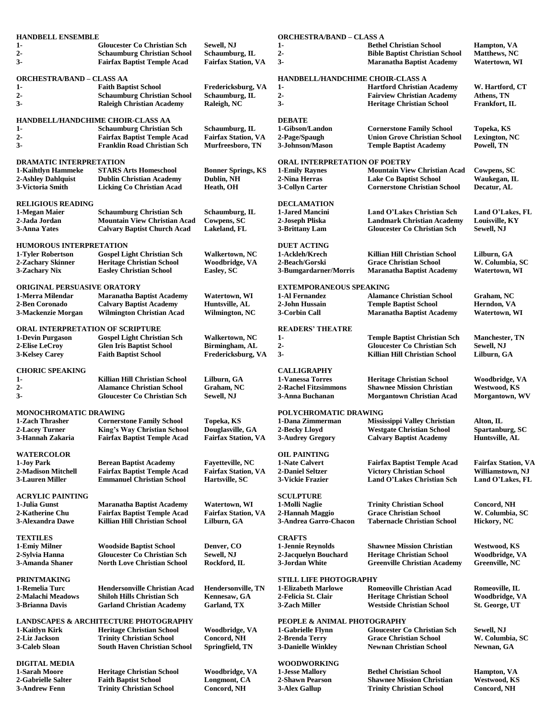| <b>HANDBELL ENSEMBLE</b>                                                                                        |                                                                                                                |                                                            | <b>ORCHESTRA/BAND – CLASS A</b>           |                                                                                                             |                                                             |
|-----------------------------------------------------------------------------------------------------------------|----------------------------------------------------------------------------------------------------------------|------------------------------------------------------------|-------------------------------------------|-------------------------------------------------------------------------------------------------------------|-------------------------------------------------------------|
| 1-<br>$2-$<br>$3-$                                                                                              | <b>Gloucester Co Christian Sch</b><br><b>Schaumburg Christian School</b><br><b>Fairfax Baptist Temple Acad</b> | Sewell, NJ<br>Schaumburg, IL<br><b>Fairfax Station, VA</b> | 1-<br>$2 -$<br>3-                         | <b>Bethel Christian School</b><br><b>Bible Baptist Christian School</b><br><b>Maranatha Baptist Academy</b> | <b>Hampton</b> , VA<br><b>Matthews, NC</b><br>Watertown, WI |
|                                                                                                                 |                                                                                                                |                                                            |                                           |                                                                                                             |                                                             |
| <b>ORCHESTRA/BAND – CLASS AA</b>                                                                                |                                                                                                                |                                                            | <b>HANDBELL/HANDCHIME CHOIR-CLASS A</b>   |                                                                                                             |                                                             |
| $1-$<br>$2-$                                                                                                    | <b>Faith Baptist School</b><br><b>Schaumburg Christian School</b>                                              | Fredericksburg, VA<br>Schaumburg, IL                       | $1-$<br>$2 -$                             | <b>Hartford Christian Academy</b><br><b>Fairview Christian Academy</b>                                      | W. Hartford, CT<br>Athens, TN                               |
| $3-$                                                                                                            | <b>Raleigh Christian Academy</b>                                                                               | Raleigh, NC                                                | $3-$                                      | <b>Heritage Christian School</b>                                                                            | Frankfort, IL                                               |
| <b>HANDBELL/HANDCHIME CHOIR-CLASS AA</b>                                                                        |                                                                                                                |                                                            | <b>DEBATE</b>                             |                                                                                                             |                                                             |
| 1-                                                                                                              | <b>Schaumburg Christian Sch</b>                                                                                | Schaumburg, IL                                             | 1-Gibson/Landon                           | <b>Cornerstone Family School</b>                                                                            | Topeka, KS                                                  |
| $2-$                                                                                                            | <b>Fairfax Baptist Temple Acad</b>                                                                             | <b>Fairfax Station, VA</b>                                 | 2-Page/Spaugh                             | <b>Union Grove Christian School</b>                                                                         | Lexington, NC                                               |
| $3-$                                                                                                            | <b>Franklin Road Christian Sch</b>                                                                             | Murfreesboro, TN                                           | 3-Johnson/Mason                           | <b>Temple Baptist Academy</b>                                                                               | Powell, TN                                                  |
| <b>DRAMATIC INTERPRETATION</b>                                                                                  |                                                                                                                |                                                            | <b>ORAL INTERPRETATION OF POETRY</b>      |                                                                                                             |                                                             |
| 1-Kaihtlyn Hammeke                                                                                              | <b>STARS Arts Homeschool</b>                                                                                   | <b>Bonner Springs, KS</b>                                  | 1-Emily Raynes                            | <b>Mountain View Christian Acad</b>                                                                         | Cowpens, SC                                                 |
| 2-Ashley Dahlquist                                                                                              | <b>Dublin Christian Academy</b>                                                                                | Dublin, NH                                                 | 2-Nina Herras                             | <b>Lake Co Baptist School</b>                                                                               | Waukegan, IL                                                |
| 3-Victoria Smith                                                                                                | <b>Licking Co Christian Acad</b>                                                                               | Heath, OH                                                  | 3-Collyn Carter                           | <b>Cornerstone Christian School</b>                                                                         | Decatur, AL                                                 |
| <b>RELIGIOUS READING</b>                                                                                        |                                                                                                                |                                                            | <b>DECLAMATION</b>                        |                                                                                                             |                                                             |
| 1-Megan Maier                                                                                                   | <b>Schaumburg Christian Sch</b>                                                                                | Schaumburg, IL                                             | 1-Jared Mancini                           | Land O'Lakes Christian Sch                                                                                  | Land O'Lakes, FL                                            |
| 2-Jada Jordan                                                                                                   | <b>Mountain View Christian Acad</b>                                                                            | Cowpens, SC                                                | 2-Joseph Pliska                           | <b>Landmark Christian Academy</b>                                                                           | Louisville, KY                                              |
| <b>3-Anna Yates</b>                                                                                             | <b>Calvary Baptist Church Acad</b>                                                                             | Lakeland, FL                                               | <b>3-Brittany Lam</b>                     | <b>Gloucester Co Christian Sch</b>                                                                          | Sewell, NJ                                                  |
| <b>HUMOROUS INTERPRETATION</b>                                                                                  |                                                                                                                |                                                            | <b>DUET ACTING</b>                        |                                                                                                             |                                                             |
| 1-Tyler Robertson                                                                                               | <b>Gospel Light Christian Sch</b>                                                                              | Walkertown, NC                                             | 1-Ackleh/Krech                            | Killian Hill Christian School                                                                               | Lilburn, GA                                                 |
| 2-Zachary Skinner                                                                                               | <b>Heritage Christian School</b>                                                                               | Woodbridge, VA                                             | 2-Beach/Gorski                            | <b>Grace Christian School</b>                                                                               | W. Columbia, SC                                             |
| 3-Zachary Nix                                                                                                   | <b>Easley Christian School</b>                                                                                 | Easley, SC                                                 | 3-Bumgardarner/Morris                     | <b>Maranatha Baptist Academy</b>                                                                            | Watertown, WI                                               |
| ORIGINAL PERSUASIVE ORATORY                                                                                     |                                                                                                                |                                                            | <b>EXTEMPORANEOUS SPEAKING</b>            |                                                                                                             |                                                             |
| 1-Merra Milendar                                                                                                | <b>Maranatha Baptist Academy</b>                                                                               | Watertown, WI                                              | 1-Al Fernandez                            | <b>Alamance Christian School</b>                                                                            | Graham, NC                                                  |
| 2-Ben Coronado                                                                                                  | <b>Calvary Baptist Academy</b>                                                                                 | Huntsville, AL                                             | 2-John Hussain                            | <b>Temple Baptist School</b>                                                                                | Herndon, VA                                                 |
| 3-Mackenzie Morgan                                                                                              | <b>Wilmington Christian Acad</b>                                                                               | Wilmington, NC                                             | 3-Corbin Call                             | <b>Maranatha Baptist Academy</b>                                                                            | Watertown, WI                                               |
| <b>ORAL INTERPRETATION OF SCRIPTURE</b>                                                                         |                                                                                                                |                                                            | <b>READERS' THEATRE</b>                   |                                                                                                             |                                                             |
| 1-Devin Purgason                                                                                                | <b>Gospel Light Christian Sch</b>                                                                              | Walkertown, NC                                             | $1-$                                      | <b>Temple Baptist Christian Sch</b>                                                                         | <b>Manchester</b> , TN                                      |
| 2-Elise LeCroy                                                                                                  | <b>Glen Iris Baptist School</b>                                                                                | Birmingham, AL                                             | $2 -$                                     | <b>Gloucester Co Christian Sch</b>                                                                          | Sewell, NJ                                                  |
| <b>3-Kelsey Carey</b>                                                                                           | <b>Faith Baptist School</b>                                                                                    | Fredericksburg, VA                                         | $3-$                                      | Killian Hill Christian School                                                                               | Lilburn, GA                                                 |
| <b>CHORIC SPEAKING</b>                                                                                          |                                                                                                                |                                                            | <b>CALLIGRAPHY</b>                        |                                                                                                             |                                                             |
| $1-$                                                                                                            | Killian Hill Christian School                                                                                  | Lilburn, GA                                                | <b>1-Vanessa Torres</b>                   | <b>Heritage Christian School</b>                                                                            | Woodbridge, VA                                              |
| $2-$                                                                                                            | <b>Alamance Christian School</b>                                                                               | Graham, NC                                                 | <b>2-Rachel Fitzsimmons</b>               | <b>Shawnee Mission Christian</b>                                                                            | Westwood, KS                                                |
| $3-$<br><b>Gloucester Co Christian Sch</b><br>Sewell, NJ<br>3-Anna Buchanan<br><b>Morgantown Christian Acad</b> |                                                                                                                |                                                            | Morgantown, WV                            |                                                                                                             |                                                             |
| <b>MONOCHROMATIC DRAWING</b>                                                                                    |                                                                                                                |                                                            | POLYCHROMATIC DRAWING                     |                                                                                                             |                                                             |
| 1-Zach Thrasher                                                                                                 | <b>Cornerstone Family School</b>                                                                               | Topeka, KS                                                 | 1-Dana Zimmerman                          | Mississippi Valley Christian                                                                                | Alton, IL                                                   |
| 2-Lacey Turner                                                                                                  | King's Way Christian School                                                                                    | Douglasville, GA                                           | 2-Becky Lloyd                             | <b>Westgate Christian School</b>                                                                            | Spartanburg, SC                                             |
| 3-Hannah Zakaria                                                                                                | <b>Fairfax Baptist Temple Acad</b>                                                                             | <b>Fairfax Station, VA</b>                                 | 3-Audrey Gregory                          | <b>Calvary Baptist Academy</b>                                                                              | Huntsville, AL                                              |
| <b>WATERCOLOR</b>                                                                                               |                                                                                                                |                                                            | <b>OIL PAINTING</b>                       |                                                                                                             |                                                             |
| 1-Joy Park                                                                                                      | <b>Berean Baptist Academy</b>                                                                                  | <b>Fayetteville, NC</b>                                    | 1-Nate Calvert                            | <b>Fairfax Baptist Temple Acad</b>                                                                          | <b>Fairfax Station, VA</b>                                  |
| 2-Madison Mitchell<br><b>3-Lauren Miller</b>                                                                    | <b>Fairfax Baptist Temple Acad</b><br><b>Emmanuel Christian School</b>                                         | <b>Fairfax Station, VA</b><br>Hartsville, SC               | 2-Daniel Seltzer<br>3-Vickie Frazier      | <b>Victory Christian School</b><br>Land O'Lakes Christian Sch                                               | Williamstown, NJ<br>Land O'Lakes, FL                        |
|                                                                                                                 |                                                                                                                |                                                            |                                           |                                                                                                             |                                                             |
| <b>ACRYLIC PAINTING</b>                                                                                         |                                                                                                                |                                                            | <b>SCULPTURE</b>                          |                                                                                                             |                                                             |
| 1-Julia Gunst                                                                                                   | <b>Maranatha Baptist Academy</b>                                                                               | Watertown, WI<br><b>Fairfax Station, VA</b>                | 1-Molli Naglie                            | <b>Trinity Christian School</b><br><b>Grace Christian School</b>                                            | Concord, NH                                                 |
| 2-Katherine Chu<br>3-Alexandra Dawe                                                                             | <b>Fairfax Baptist Temple Acad</b><br><b>Killian Hill Christian School</b>                                     | Lilburn, GA                                                | 2-Hannah Maggio<br>3-Andrea Garro-Chacon  | <b>Tabernacle Christian School</b>                                                                          | W. Columbia, SC<br>Hickory, NC                              |
|                                                                                                                 |                                                                                                                |                                                            |                                           |                                                                                                             |                                                             |
| <b>TEXTILES</b>                                                                                                 |                                                                                                                | Denver, CO                                                 | <b>CRAFTS</b>                             | <b>Shawnee Mission Christian</b>                                                                            |                                                             |
| 1-Emiy Milner<br>2-Sylvia Hanna                                                                                 | <b>Woodside Baptist School</b><br><b>Gloucester Co Christian Sch</b>                                           | Sewell, NJ                                                 | 1-Jennie Reynolds<br>2-Jacquelyn Bouchard | <b>Heritage Christian School</b>                                                                            | Westwood, KS<br>Woodbridge, VA                              |
| 3-Amanda Shaner                                                                                                 | <b>North Love Christian School</b>                                                                             | Rockford, IL                                               | 3-Jordan White                            | <b>Greenville Christian Academy</b>                                                                         | Greenville, NC                                              |
| <b>PRINTMAKING</b><br>STILL LIFE PHOTOGRAPHY                                                                    |                                                                                                                |                                                            |                                           |                                                                                                             |                                                             |
| 1-Remelia Turc                                                                                                  | <b>Hendersonville Christian Acad</b>                                                                           | <b>Hendersonville, TN</b>                                  | <b>1-Elizabeth Marlowe</b>                | <b>Romeoville Christian Acad</b>                                                                            | Romeoville, IL                                              |
| 2-Malachi Meadows                                                                                               | <b>Shiloh Hills Christian Sch</b>                                                                              | Kennesaw, GA                                               | 2-Felicia St. Clair                       | <b>Heritage Christian School</b>                                                                            | Woodbridge, VA                                              |
| 3-Brianna Davis                                                                                                 | <b>Garland Christian Academy</b>                                                                               | Garland, TX                                                | 3-Zach Miller                             | <b>Westside Christian School</b>                                                                            | St. George, UT                                              |
| <b>LANDSCAPES &amp; ARCHITECTURE PHOTOGRAPHY</b><br><b>PEOPLE &amp; ANIMAL PHOTOGRAPHY</b>                      |                                                                                                                |                                                            |                                           |                                                                                                             |                                                             |
| 1-Kaitlyn Kirk                                                                                                  | <b>Heritage Christian School</b>                                                                               | Woodbridge, VA                                             | 1-Gabrielle Flynn                         | <b>Gloucester Co Christian Sch</b>                                                                          | Sewell, NJ                                                  |
| 2-Liz Jackson                                                                                                   | <b>Trinity Christian School</b>                                                                                | Concord, NH                                                | 2-Brenda Terry                            | <b>Grace Christian School</b>                                                                               | W. Columbia, SC                                             |
| 3-Caleb Sloan                                                                                                   | <b>South Haven Christian School</b>                                                                            | Springfield, TN                                            | <b>3-Danielle Winkley</b>                 | <b>Newnan Christian School</b>                                                                              | Newnan, GA                                                  |
| <b>DIGITAL MEDIA</b>                                                                                            |                                                                                                                |                                                            | <b>WOODWORKING</b>                        |                                                                                                             |                                                             |
| 1-Sarah Moore                                                                                                   | <b>Heritage Christian School</b>                                                                               | Woodbridge, VA                                             | <b>1-Jesse Mallory</b>                    | <b>Bethel Christian School</b>                                                                              | <b>Hampton</b> , VA                                         |
| 2-Gabrielle Salter                                                                                              | <b>Faith Baptist School</b>                                                                                    | Longmont, CA                                               | 2-Shawn Pearson                           | <b>Shawnee Mission Christian</b>                                                                            | Westwood, KS                                                |
| <b>3-Andrew Fenn</b>                                                                                            | <b>Trinity Christian School</b>                                                                                | Concord, NH                                                | <b>3-Alex Gallup</b>                      | <b>Trinity Christian School</b>                                                                             | Concord, NH                                                 |